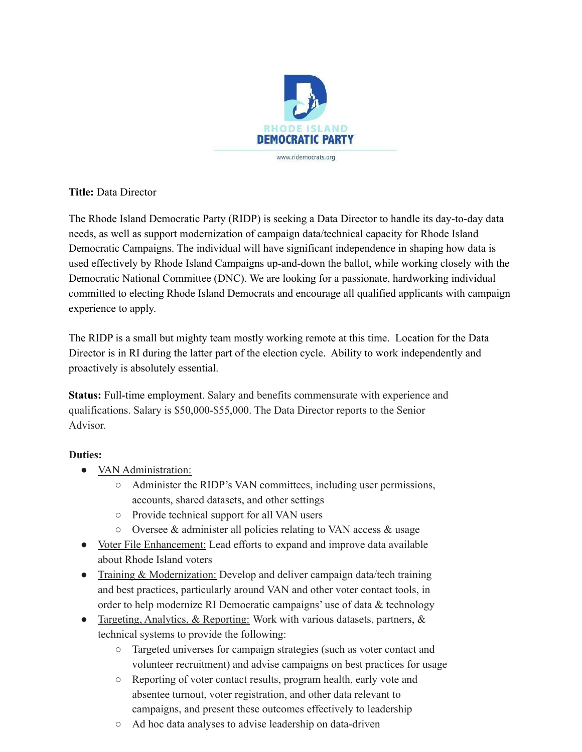

**Title:** Data Director

The Rhode Island Democratic Party (RIDP) is seeking a Data Director to handle its day-to-day data needs, as well as support modernization of campaign data/technical capacity for Rhode Island Democratic Campaigns. The individual will have significant independence in shaping how data is used effectively by Rhode Island Campaigns up-and-down the ballot, while working closely with the Democratic National Committee (DNC). We are looking for a passionate, hardworking individual committed to electing Rhode Island Democrats and encourage all qualified applicants with campaign experience to apply.

The RIDP is a small but mighty team mostly working remote at this time. Location for the Data Director is in RI during the latter part of the election cycle. Ability to work independently and proactively is absolutely essential.

**Status:** Full-time employment. Salary and benefits commensurate with experience and qualifications. Salary is \$50,000-\$55,000. The Data Director reports to the Senior Advisor.

## **Duties:**

- VAN Administration:
	- Administer the RIDP's VAN committees, including user permissions, accounts, shared datasets, and other settings
	- Provide technical support for all VAN users
	- Oversee & administer all policies relating to VAN access & usage
- Voter File Enhancement: Lead efforts to expand and improve data available about Rhode Island voters
- Training & Modernization: Develop and deliver campaign data/tech training and best practices, particularly around VAN and other voter contact tools, in order to help modernize RI Democratic campaigns' use of data & technology
- Targeting, Analytics, & Reporting: Work with various datasets, partners, & technical systems to provide the following:
	- Targeted universes for campaign strategies (such as voter contact and volunteer recruitment) and advise campaigns on best practices for usage
	- Reporting of voter contact results, program health, early vote and absentee turnout, voter registration, and other data relevant to campaigns, and present these outcomes effectively to leadership
	- Ad hoc data analyses to advise leadership on data-driven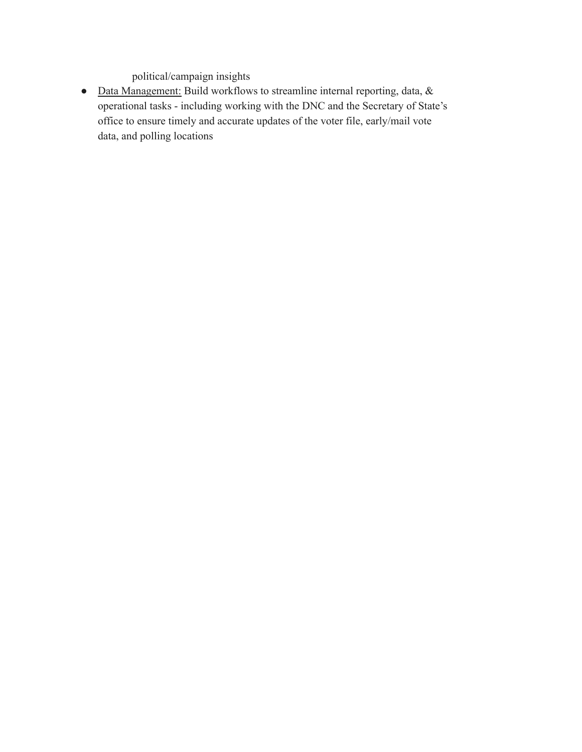political/campaign insights

● Data Management: Build workflows to streamline internal reporting, data, & operational tasks - including working with the DNC and the Secretary of State's office to ensure timely and accurate updates of the voter file, early/mail vote data, and polling locations